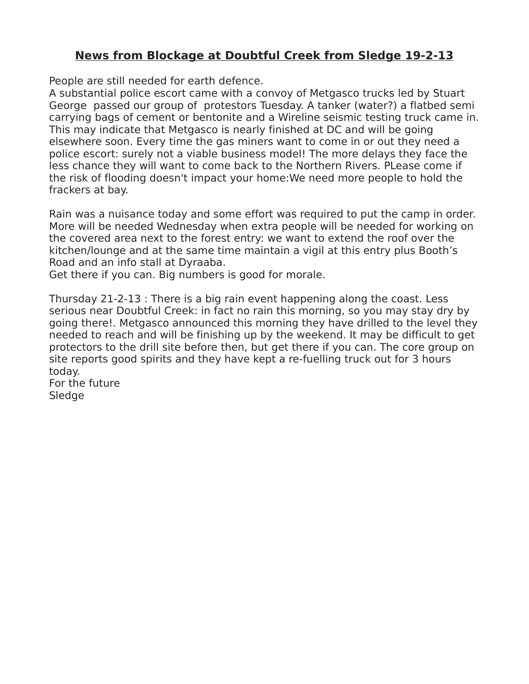## **News from Blockage at Doubtful Creek from Sledge 19-2-13**

People are still needed for earth defence.

A substantial police escort came with a convoy of Metgasco trucks led by Stuart George passed our group of protestors Tuesday. A tanker (water?) a flatbed semi carrying bags of cement or bentonite and a Wireline seismic testing truck came in. This may indicate that Metgasco is nearly finished at DC and will be going elsewhere soon. Every time the gas miners want to come in or out they need a police escort: surely not a viable business model! The more delays they face the less chance they will want to come back to the Northern Rivers. PLease come if the risk of flooding doesn't impact your home:We need more people to hold the frackers at bay.

Rain was a nuisance today and some effort was required to put the camp in order. More will be needed Wednesday when extra people will be needed for working on the covered area next to the forest entry: we want to extend the roof over the kitchen/lounge and at the same time maintain a vigil at this entry plus Booth's Road and an info stall at Dyraaba.

Get there if you can. Big numbers is good for morale.

Thursday 21-2-13 : There is a big rain event happening along the coast. Less serious near Doubtful Creek: in fact no rain this morning, so you may stay dry by going there!. Metgasco announced this morning they have drilled to the level they needed to reach and will be finishing up by the weekend. It may be difficult to get protectors to the drill site before then, but get there if you can. The core group on site reports good spirits and they have kept a re-fuelling truck out for 3 hours today.

For the future **Sledge**